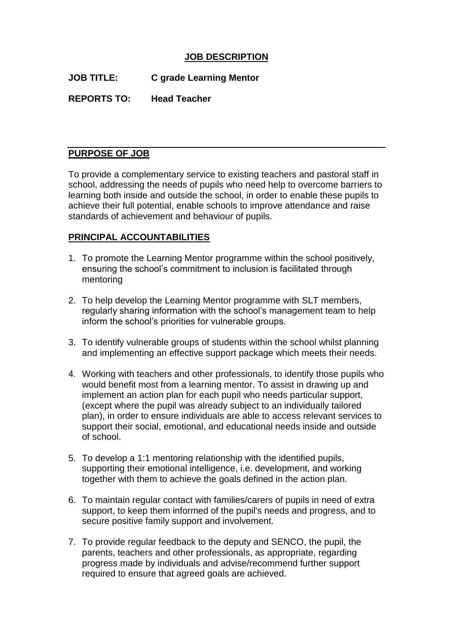## **JOB DESCRIPTION**

**JOB TITLE: C grade Learning Mentor**

**REPORTS TO: Head Teacher**

### **PURPOSE OF JOB**

To provide a complementary service to existing teachers and pastoral staff in school, addressing the needs of pupils who need help to overcome barriers to learning both inside and outside the school, in order to enable these pupils to achieve their full potential, enable schools to improve attendance and raise standards of achievement and behaviour of pupils.

### **PRINCIPAL ACCOUNTABILITIES**

- 1. To promote the Learning Mentor programme within the school positively, ensuring the school's commitment to inclusion is facilitated through mentoring
- 2. To help develop the Learning Mentor programme with SLT members, regularly sharing information with the school's management team to help inform the school's priorities for vulnerable groups.
- 3. To identify vulnerable groups of students within the school whilst planning and implementing an effective support package which meets their needs.
- 4. Working with teachers and other professionals, to identify those pupils who would benefit most from a learning mentor. To assist in drawing up and implement an action plan for each pupil who needs particular support, (except where the pupil was already subject to an individually tailored plan), in order to ensure individuals are able to access relevant services to support their social, emotional, and educational needs inside and outside of school.
- 5. To develop a 1:1 mentoring relationship with the identified pupils, supporting their emotional intelligence, i.e. development, and working together with them to achieve the goals defined in the action plan.
- 6. To maintain regular contact with families/carers of pupils in need of extra support, to keep them informed of the pupil's needs and progress, and to secure positive family support and involvement.
- 7. To provide regular feedback to the deputy and SENCO, the pupil, the parents, teachers and other professionals, as appropriate, regarding progress made by individuals and advise/recommend further support required to ensure that agreed goals are achieved.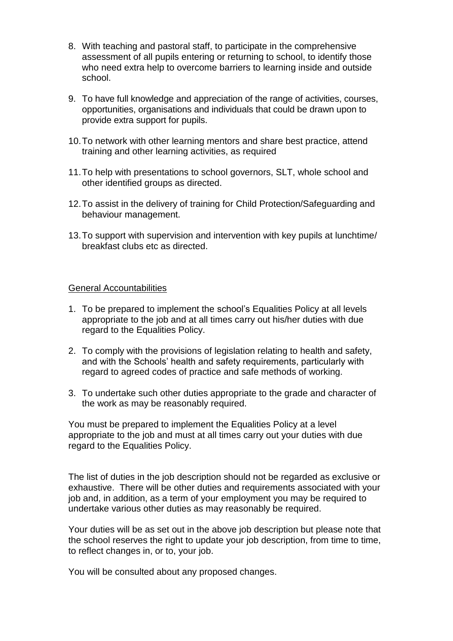- 8. With teaching and pastoral staff, to participate in the comprehensive assessment of all pupils entering or returning to school, to identify those who need extra help to overcome barriers to learning inside and outside school.
- 9. To have full knowledge and appreciation of the range of activities, courses, opportunities, organisations and individuals that could be drawn upon to provide extra support for pupils.
- 10.To network with other learning mentors and share best practice, attend training and other learning activities, as required
- 11.To help with presentations to school governors, SLT, whole school and other identified groups as directed.
- 12.To assist in the delivery of training for Child Protection/Safeguarding and behaviour management.
- 13.To support with supervision and intervention with key pupils at lunchtime/ breakfast clubs etc as directed.

#### General Accountabilities

- 1. To be prepared to implement the school's Equalities Policy at all levels appropriate to the job and at all times carry out his/her duties with due regard to the Equalities Policy.
- 2. To comply with the provisions of legislation relating to health and safety, and with the Schools' health and safety requirements, particularly with regard to agreed codes of practice and safe methods of working.
- 3. To undertake such other duties appropriate to the grade and character of the work as may be reasonably required.

You must be prepared to implement the Equalities Policy at a level appropriate to the job and must at all times carry out your duties with due regard to the Equalities Policy.

The list of duties in the job description should not be regarded as exclusive or exhaustive. There will be other duties and requirements associated with your job and, in addition, as a term of your employment you may be required to undertake various other duties as may reasonably be required.

Your duties will be as set out in the above job description but please note that the school reserves the right to update your job description, from time to time, to reflect changes in, or to, your job.

You will be consulted about any proposed changes.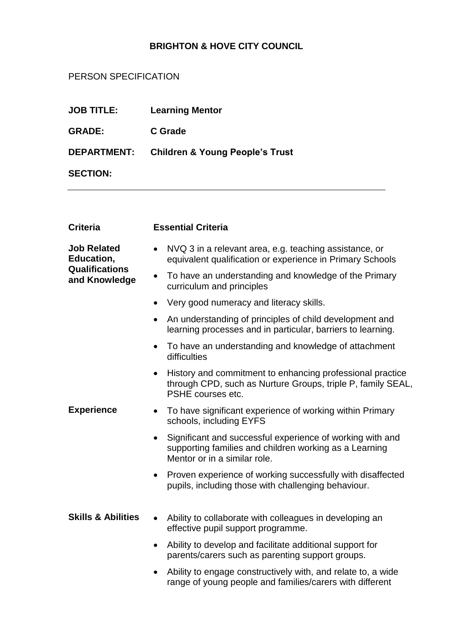# **BRIGHTON & HOVE CITY COUNCIL**

# PERSON SPECIFICATION

| <b>JOB TITLE:</b>  | <b>Learning Mentor</b>                     |
|--------------------|--------------------------------------------|
| <b>GRADE:</b>      | <b>C</b> Grade                             |
| <b>DEPARTMENT:</b> | <b>Children &amp; Young People's Trust</b> |
| <b>SECTION:</b>    |                                            |

| <b>Criteria</b>                                                            | <b>Essential Criteria</b>                                                                                                                                        |
|----------------------------------------------------------------------------|------------------------------------------------------------------------------------------------------------------------------------------------------------------|
| <b>Job Related</b><br>Education,<br><b>Qualifications</b><br>and Knowledge | NVQ 3 in a relevant area, e.g. teaching assistance, or<br>$\bullet$<br>equivalent qualification or experience in Primary Schools                                 |
|                                                                            | To have an understanding and knowledge of the Primary<br>$\bullet$<br>curriculum and principles                                                                  |
|                                                                            | Very good numeracy and literacy skills.                                                                                                                          |
|                                                                            | An understanding of principles of child development and<br>$\bullet$<br>learning processes and in particular, barriers to learning.                              |
|                                                                            | To have an understanding and knowledge of attachment<br>$\bullet$<br>difficulties                                                                                |
|                                                                            | History and commitment to enhancing professional practice<br>through CPD, such as Nurture Groups, triple P, family SEAL,<br>PSHE courses etc.                    |
| <b>Experience</b>                                                          | To have significant experience of working within Primary<br>$\bullet$<br>schools, including EYFS                                                                 |
|                                                                            | Significant and successful experience of working with and<br>$\bullet$<br>supporting families and children working as a Learning<br>Mentor or in a similar role. |
|                                                                            | Proven experience of working successfully with disaffected<br>$\bullet$<br>pupils, including those with challenging behaviour.                                   |
| <b>Skills &amp; Abilities</b>                                              | Ability to collaborate with colleagues in developing an<br>$\bullet$<br>effective pupil support programme.                                                       |
|                                                                            | Ability to develop and facilitate additional support for<br>$\bullet$<br>parents/carers such as parenting support groups.                                        |
|                                                                            | Ability to engage constructively with, and relate to, a wide<br>$\bullet$<br>range of young people and families/carers with different                            |